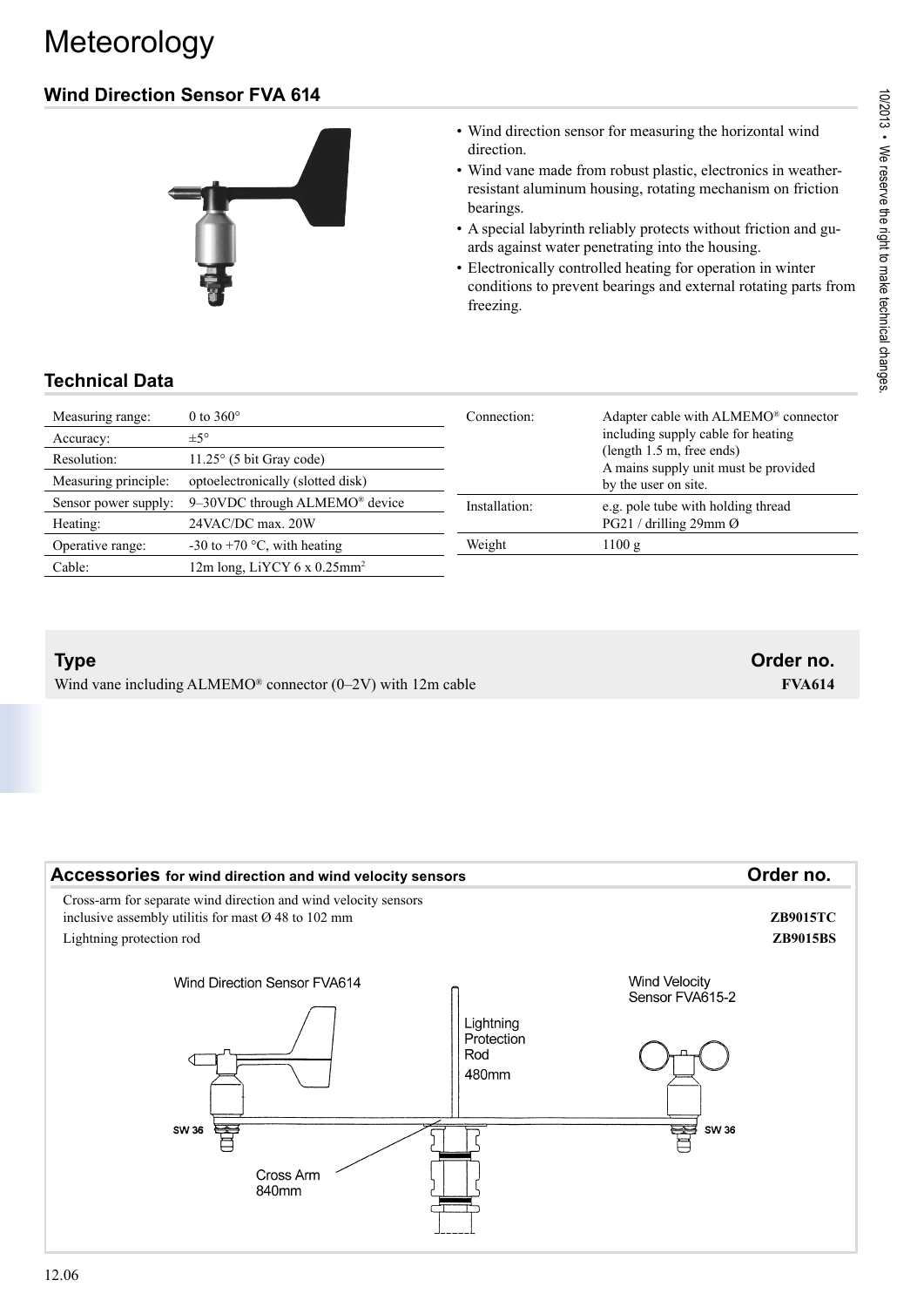# Meteorology

## **Wind Direction Sensor FVA 614**



- Wind direction sensor for measuring the horizontal wind direction.
- Wind vane made from robust plastic, electronics in weatherresistant aluminum housing, rotating mechanism on friction bearings.
- A special labyrinth reliably protects without friction and guards against water penetrating into the housing.
- Electronically controlled heating for operation in winter conditions to prevent bearings and external rotating parts from freezing.

### **Technical Data**

| Measuring range:     | 0 to $360^\circ$                                | Connection:   | Adapter cable with ALMEMO® connector                                                      |  |
|----------------------|-------------------------------------------------|---------------|-------------------------------------------------------------------------------------------|--|
| Accuracy:            | $\pm 5^{\circ}$                                 |               | including supply cable for heating                                                        |  |
| Resolution:          | $11.25^{\circ}$ (5 bit Gray code)               |               | (length 1.5 m, free ends)<br>A mains supply unit must be provided<br>by the user on site. |  |
| Measuring principle: | optoelectronically (slotted disk)               |               |                                                                                           |  |
| Sensor power supply: | 9-30VDC through ALMEMO <sup>®</sup> device      | Installation: | e.g. pole tube with holding thread                                                        |  |
| Heating:             | 24VAC/DC max. 20W                               |               | PG21 / drilling 29mm 0                                                                    |  |
| Operative range:     | -30 to +70 $\degree$ C, with heating            | Weight        | 1100 g                                                                                    |  |
| Cable:               | 12m long, LiYCY $6 \times 0.25$ mm <sup>2</sup> |               |                                                                                           |  |

#### **Type Order no.**

Wind vane including ALMEMO<sup>®</sup> connector (0–2V) with 12m cable **FVA614**